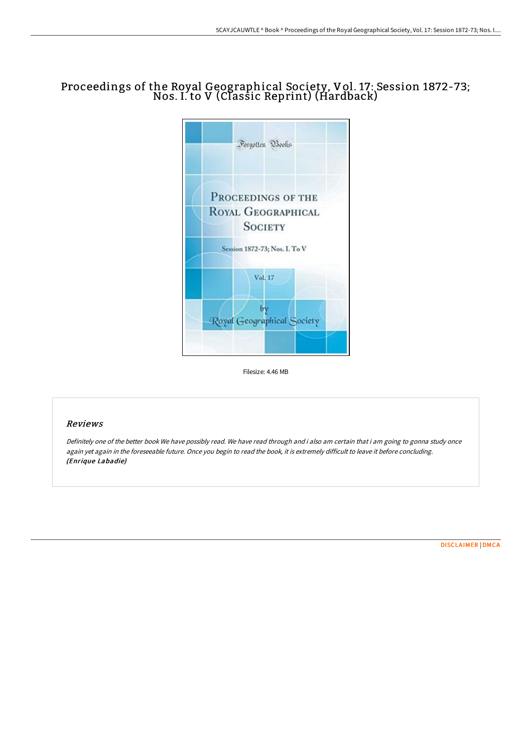## Proceedings of the Royal Geographical Society, Vol. 17: Session 1872-73; Nos. I. to V (Classic Reprint) (Hardback)



Filesize: 4.46 MB

## Reviews

Definitely one of the better book We have possibly read. We have read through and i also am certain that i am going to gonna study once again yet again in the foreseeable future. Once you begin to read the book, it is extremely difficult to leave it before concluding. (Enrique Labadie)

[DISCLAIMER](http://techno-pub.tech/disclaimer.html) | [DMCA](http://techno-pub.tech/dmca.html)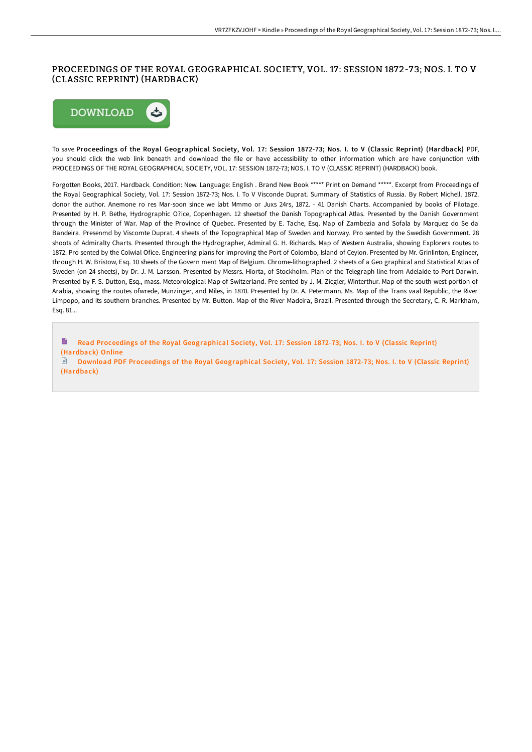## PROCEEDINGS OF THE ROYAL GEOGRAPHICAL SOCIETY, VOL. 17: SESSION 1872-73; NOS. I. TO V (CLASSIC REPRINT) (HARDBACK)



To save Proceedings of the Royal Geographical Society, Vol. 17: Session 1872-73; Nos. I. to V (Classic Reprint) (Hardback) PDF, you should click the web link beneath and download the file or have accessibility to other information which are have conjunction with PROCEEDINGS OF THE ROYAL GEOGRAPHICAL SOCIETY, VOL. 17: SESSION 1872-73; NOS. I. TO V (CLASSIC REPRINT) (HARDBACK) book.

Forgotten Books, 2017. Hardback. Condition: New. Language: English . Brand New Book \*\*\*\*\* Print on Demand \*\*\*\*\*. Excerpt from Proceedings of the Royal Geographical Society, Vol. 17: Session 1872-73; Nos. I. To V Visconde Duprat. Summary of Statistics of Russia. By Robert Michell. 1872. donor the author. Anemone ro res Mar-soon since we labt Mmmo or Juxs 24rs, 1872. - 41 Danish Charts. Accompanied by books of Pilotage. Presented by H. P. Bethe, Hydrographic O?ice, Copenhagen. 12 sheetsof the Danish Topographical Atlas. Presented by the Danish Government through the Minister of War. Map of the Province of Quebec. Presented by E. Tache, Esq. Map of Zambezia and Sofala by Marquez do Se da Bandeira. Presenmd by Viscomte Duprat. 4 sheets of the Topographical Map of Sweden and Norway. Pro sented by the Swedish Government. 28 shoots of Admiralty Charts. Presented through the Hydrographer, Admiral G. H. Richards. Map of Western Australia, showing Explorers routes to 1872. Pro sented by the Colwial Ofice. Engineering plans for improving the Port of Colombo, Island of Ceylon. Presented by Mr. Grinlinton, Engineer, through H. W. Bristow, Esq. 10 sheets of the Govern ment Map of Belgium. Chrome-lithographed. 2 sheets of a Geo graphical and Statistical Atlas of Sweden (on 24 sheets), by Dr. J. M. Larsson. Presented by Messrs. Hiorta, of Stockholm. Plan of the Telegraph line from Adelaide to Port Darwin. Presented by F. S. Dutton, Esq., mass. Meteorological Map of Switzerland. Pre sented by J. M. Ziegler, Winterthur. Map of the south-west portion of Arabia, showing the routes ofwrede, Munzinger, and Miles, in 1870. Presented by Dr. A. Petermann. Ms. Map of the Trans vaal Republic, the River Limpopo, and its southern branches. Presented by Mr. Button. Map of the River Madeira, Brazil. Presented through the Secretary, C. R. Markham, Esq. 81...

 $\qquad \qquad \blacksquare$ Read Proceedings of the Royal [Geographical](http://techno-pub.tech/proceedings-of-the-royal-geographical-society-vo.html) Society, Vol. 17: Session 1872-73; Nos. I. to V (Classic Reprint) (Hardback) Online

Download PDF Proceedings of the Royal [Geographical](http://techno-pub.tech/proceedings-of-the-royal-geographical-society-vo.html) Society, Vol. 17: Session 1872-73; Nos. I. to V (Classic Reprint) (Hardback)